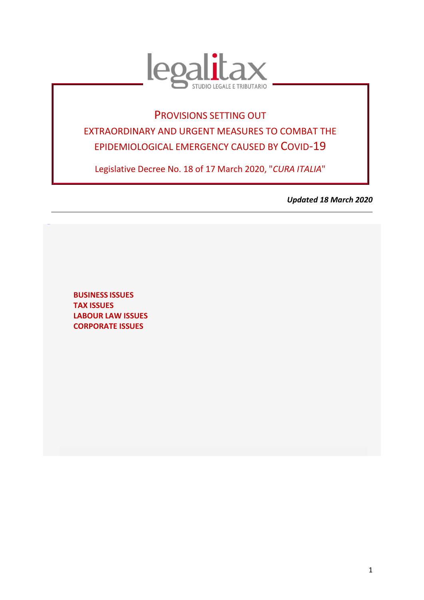

# PROVISIONS SETTING OUT EXTRAORDINARY AND URGENT MEASURES TO COMBAT THE EPIDEMIOLOGICAL EMERGENCY CAUSED BY COVID-19

Legislative Decree No. 18 of 17 March 2020, "*CURA ITALIA*"

*Updated 18 March 2020*

**[BUSINESS](#page-2-0) ISSUES TAX ISSUES [LABOUR LAW ISSUES](#page-10-0) [CORPORATE ISSUES](#page-12-0)**

<span id="page-0-0"></span>[TORNAS](#page-0-0) **U**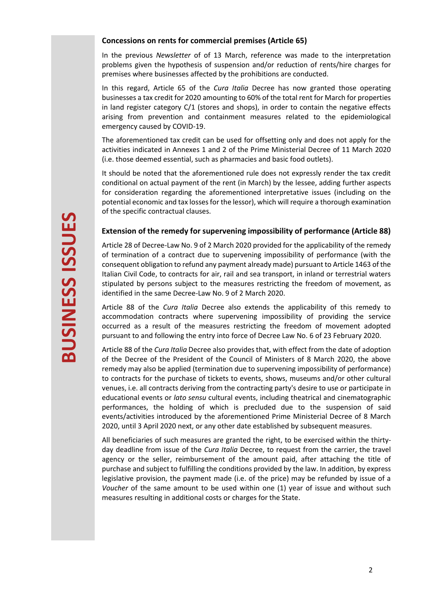#### **Concessions on rents for commercial premises (Article 65)**

In the previous *Newsletter* of of 13 March, reference was made to the interpretation problems given the hypothesis of suspension and/or reduction of rents/hire charges for premises where businesses affected by the prohibitions are conducted.

In this regard, Article 65 of the *Cura Italia* Decree has now granted those operating businesses a tax credit for 2020 amounting to 60% of the total rent for March for properties in land register category C/1 (stores and shops), in order to contain the negative effects arising from prevention and containment measures related to the epidemiological emergency caused by COVID-19.

The aforementioned tax credit can be used for offsetting only and does not apply for the activities indicated in Annexes 1 and 2 of the Prime Ministerial Decree of 11 March 2020 (i.e. those deemed essential, such as pharmacies and basic food outlets).

It should be noted that the aforementioned rule does not expressly render the tax credit conditional on actual payment of the rent (in March) by the lessee, adding further aspects for consideration regarding the aforementioned interpretative issues (including on the potential economic and tax losses for the lessor), which will require a thorough examination of the specific contractual clauses.

# **Extension of the remedy for supervening impossibility of performance (Article 88)**

Article 28 of Decree-Law No. 9 of 2 March 2020 provided for the applicability of the remedy of termination of a contract due to supervening impossibility of performance (with the consequent obligation to refund any payment already made) pursuant to Article 1463 of the Italian Civil Code, to contracts for air, rail and sea transport, in inland or terrestrial waters stipulated by persons subject to the measures restricting the freedom of movement, as identified in the same Decree-Law No. 9 of 2 March 2020.

Article 88 of the *Cura Italia* Decree also extends the applicability of this remedy to accommodation contracts where supervening impossibility of providing the service occurred as a result of the measures restricting the freedom of movement adopted pursuant to and following the entry into force of Decree Law No. 6 of 23 February 2020.

Article 88 of the *Cura Italia* Decree also provides that, with effect from the date of adoption of the Decree of the President of the Council of Ministers of 8 March 2020, the above remedy may also be applied (termination due to supervening impossibility of performance) to contracts for the purchase of tickets to events, shows, museums and/or other cultural venues, i.e. all contracts deriving from the contracting party's desire to use or participate in educational events or *lato sensu* cultural events, including theatrical and cinematographic performances, the holding of which is precluded due to the suspension of said events/activities introduced by the aforementioned Prime Ministerial Decree of 8 March 2020, until 3 April 2020 next, or any other date established by subsequent measures.

All beneficiaries of such measures are granted the right, to be exercised within the thirtyday deadline from issue of the *Cura Italia* Decree, to request from the carrier, the travel agency or the seller, reimbursement of the amount paid, after attaching the title of purchase and subject to fulfilling the conditions provided by the law. In addition, by express legislative provision, the payment made (i.e. of the price) may be refunded by issue of a *Voucher* of the same amount to be used within one (1) year of issue and without such measures resulting in additional costs or charges for the State.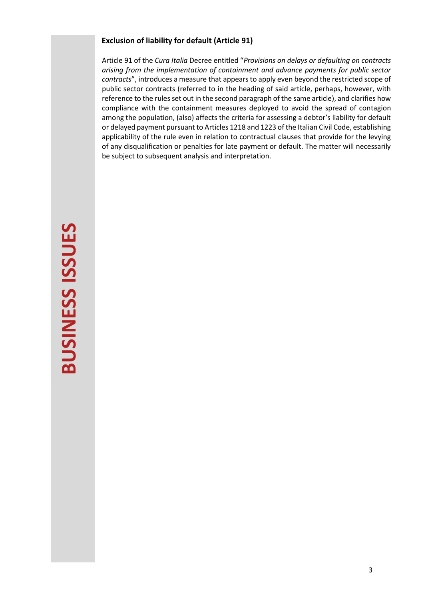# **Exclusion of liability for default (Article 91)**

<span id="page-2-0"></span>Article 91 of the *Cura Italia* Decree entitled "*Provisions on delays or defaulting on contracts arising from the implementation of containment and advance payments for public sector contracts*", introduces a measure that appears to apply even beyond the restricted scope of public sector contracts (referred to in the heading of said article, perhaps, however, with reference to the rules set out in the second paragraph of the same article), and clarifies how compliance with the containment measures deployed to avoid the spread of contagion among the population, (also) affects the criteria for assessing a debtor's liability for default or delayed payment pursuant to Articles 1218 and 1223 of the Italian Civil Code, establishing applicability of the rule even in relation to contractual clauses that provide for the levying of any disqualification or penalties for late payment or default. The matter will necessarily be subject to subsequent analysis and interpretation.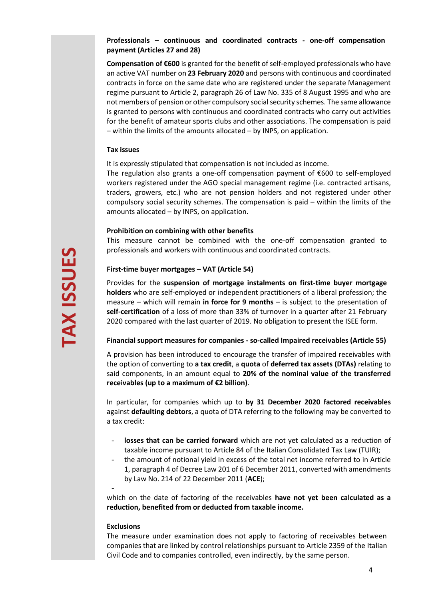# **Professionals – continuous and coordinated contracts - one-off compensation payment (Articles 27 and 28)**

**Compensation of €600** is granted for the benefit of self-employed professionals who have an active VAT number on **23 February 2020** and persons with continuous and coordinated contracts in force on the same date who are registered under the separate Management regime pursuant to Article 2, paragraph 26 of Law No. 335 of 8 August 1995 and who are not members of pension or other compulsory social security schemes. The same allowance is granted to persons with continuous and coordinated contracts who carry out activities for the benefit of amateur sports clubs and other associations. The compensation is paid – within the limits of the amounts allocated – by INPS, on application.

#### **Tax issues**

It is expressly stipulated that compensation is not included as income.

The regulation also grants a one-off compensation payment of  $\epsilon$ 600 to self-employed workers registered under the AGO special management regime (i.e. contracted artisans, traders, growers, etc.) who are not pension holders and not registered under other compulsory social security schemes. The compensation is paid – within the limits of the amounts allocated – by INPS, on application.

#### **Prohibition on combining with other benefits**

This measure cannot be combined with the one-off compensation granted to professionals and workers with continuous and coordinated contracts.

## **First-time buyer mortgages – VAT (Article 54)**

Provides for the **suspension of mortgage instalments on first-time buyer mortgage holders** who are self-employed or independent practitioners of a liberal profession; the measure – which will remain **in force for 9 months** – is subject to the presentation of **self-certification** of a loss of more than 33% of turnover in a quarter after 21 February 2020 compared with the last quarter of 2019. No obligation to present the ISEE form.

# **Financial support measures for companies - so-called Impaired receivables (Article 55)**

A provision has been introduced to encourage the transfer of impaired receivables with the option of converting to **a tax credit**, a **quota** of **deferred tax assets (DTAs)** relating to said components, in an amount equal to **20% of the nominal value of the transferred receivables (up to a maximum of €2 billion)**.

In particular, for companies which up to **by 31 December 2020 factored receivables** against **defaulting debtors**, a quota of DTA referring to the following may be converted to a tax credit:

- losses that can be carried forward which are not yet calculated as a reduction of taxable income pursuant to Article 84 of the Italian Consolidated Tax Law (TUIR);
- the amount of notional yield in excess of the total net income referred to in Article 1, paragraph 4 of Decree Law 201 of 6 December 2011, converted with amendments by Law No. 214 of 22 December 2011 (**ACE**);

which on the date of factoring of the receivables **have not yet been calculated as a reduction, benefited from or deducted from taxable income.**

#### **Exclusions**

-

The measure under examination does not apply to factoring of receivables between companies that are linked by control relationships pursuant to Article 2359 of the Italian Civil Code and to companies controlled, even indirectly, by the same person.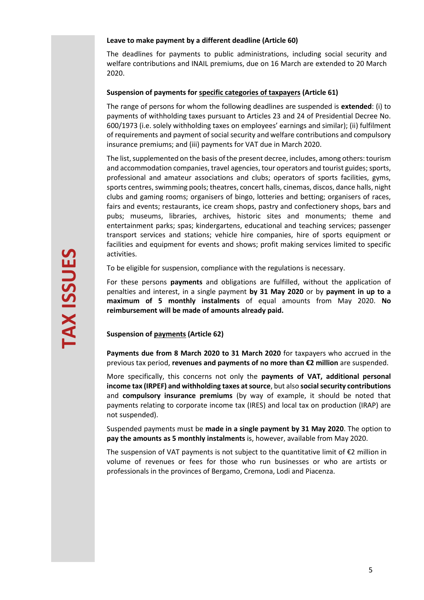#### **Leave to make payment by a different deadline (Article 60)**

The deadlines for payments to public administrations, including social security and welfare contributions and INAIL premiums, due on 16 March are extended to 20 March 2020.

### **Suspension of payments for specific categories of taxpayers (Article 61)**

The range of persons for whom the following deadlines are suspended is **extended**: (i) to payments of withholding taxes pursuant to Articles 23 and 24 of Presidential Decree No. 600/1973 (i.e. solely withholding taxes on employees' earnings and similar); (ii) fulfilment of requirements and payment of social security and welfare contributions and compulsory insurance premiums; and (iii) payments for VAT due in March 2020.

The list, supplemented on the basis of the present decree, includes, among others: tourism and accommodation companies, travel agencies, tour operators and tourist guides; sports, professional and amateur associations and clubs; operators of sports facilities, gyms, sports centres, swimming pools; theatres, concert halls, cinemas, discos, dance halls, night clubs and gaming rooms; organisers of bingo, lotteries and betting; organisers of races, fairs and events; restaurants, ice cream shops, pastry and confectionery shops, bars and pubs; museums, libraries, archives, historic sites and monuments; theme and entertainment parks; spas; kindergartens, educational and teaching services; passenger transport services and stations; vehicle hire companies, hire of sports equipment or facilities and equipment for events and shows; profit making services limited to specific activities.

To be eligible for suspension, compliance with the regulations is necessary.

For these persons **payments** and obligations are fulfilled, without the application of penalties and interest, in a single payment **by 31 May 2020** or by **payment in up to a maximum of 5 monthly instalments** of equal amounts from May 2020. **No reimbursement will be made of amounts already paid.**

**Suspension of payments (Article 62)**

**Payments due from 8 March 2020 to 31 March 2020** for taxpayers who accrued in the previous tax period, **revenues and payments of no more than €2 million** are suspended.

More specifically, this concerns not only the **payments of VAT, additional personal income tax (IRPEF) and withholding taxes at source**, but also **social security contributions** and **compulsory insurance premiums** (by way of example, it should be noted that payments relating to corporate income tax (IRES) and local tax on production (IRAP) are not suspended).

Suspended payments must be **made in a single payment by 31 May 2020**. The option to **pay the amounts as 5 monthly instalments** is, however, available from May 2020.

The suspension of VAT payments is not subject to the quantitative limit of  $\epsilon$ 2 million in volume of revenues or fees for those who run businesses or who are artists or professionals in the provinces of Bergamo, Cremona, Lodi and Piacenza.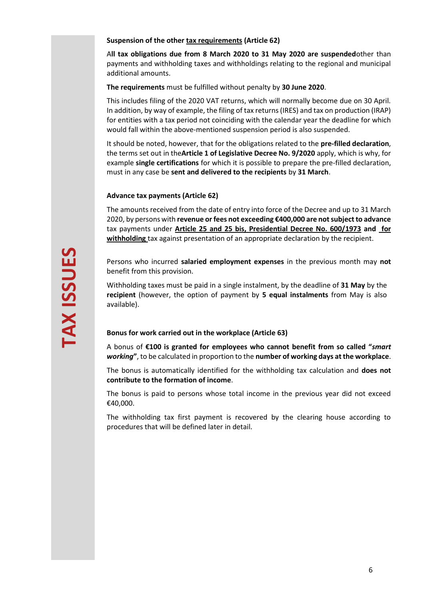#### **Suspension of the other tax requirements (Article 62)**

A**ll tax obligations due from 8 March 2020 to 31 May 2020 are suspended**other than payments and withholding taxes and withholdings relating to the regional and municipal additional amounts.

**The requirements** must be fulfilled without penalty by **30 June 2020**.

This includes filing of the 2020 VAT returns, which will normally become due on 30 April. In addition, by way of example, the filing of tax returns (IRES) and tax on production (IRAP) for entities with a tax period not coinciding with the calendar year the deadline for which would fall within the above-mentioned suspension period is also suspended.

It should be noted, however, that for the obligations related to the **pre-filled declaration**, the terms set out in the**Article 1 of Legislative Decree No. 9/2020** apply, which is why, for example **single certifications** for which it is possible to prepare the pre-filled declaration, must in any case be **sent and delivered to the recipients** by **31 March**.

## **Advance tax payments (Article 62)**

The amounts received from the date of entry into force of the Decree and up to 31 March 2020, by persons with **revenue or fees not exceeding €400,000 are not subject to advance**  tax payments under **[Article 25 and 25 bis, Presidential Decree No. 600/1973](https://portale.ecevolution.it/loginServlet?encParam=6159B48189DAFD1436D4A3C126DCCA24821F7D09C72396B5E9551044527D53553E60065CAAB54F71BAFEB09F468E1C1D58FC2512E0C8AF3AF920F6EC2FFFBC3A1B52E47939600E9FE6D825E7BE07BFA874B032C9E7D8C23375212D9D7D1C1CCEF7ACB7CEB18EFA25C7EF37B687A4E6C71EB9F2C0D7C2F504556E7D583EE4F9EA619FE45CF30B2422FC67C1928827DEB2) and for withholding** tax against presentation of an appropriate declaration by the recipient.

Persons who incurred **salaried employment expenses** in the previous month may **not** benefit from this provision.

Withholding taxes must be paid in a single instalment, by the deadline of **31 May** by the **recipient** (however, the option of payment by **5 equal instalments** from May is also available).

#### **Bonus for work carried out in the workplace (Article 63)**

A bonus of **€100 is granted for employees who cannot benefit from so called "***smart working***"**, to be calculated in proportion to the **number of working days at the workplace**.

The bonus is automatically identified for the withholding tax calculation and **does not contribute to the formation of income**.

The bonus is paid to persons whose total income in the previous year did not exceed €40,000.

The withholding tax first payment is recovered by the clearing house according to procedures that will be defined later in detail.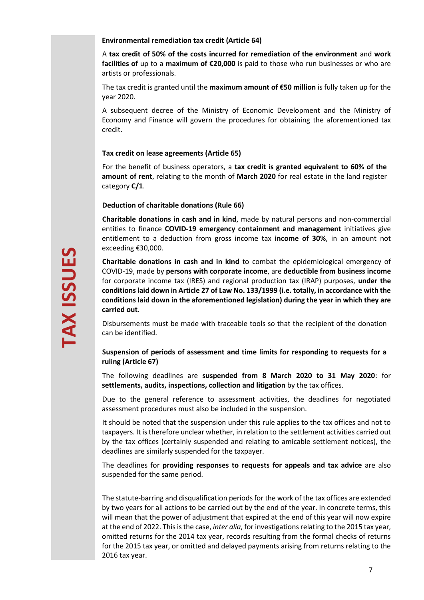#### **Environmental remediation tax credit (Article 64)**

A **tax credit of 50% of the costs incurred for remediation of the environment** and **work facilities of** up to a **maximum of €20,000** is paid to those who run businesses or who are artists or professionals.

The tax credit is granted until the **maximum amount of €50 million** is fully taken up for the year 2020.

A subsequent decree of the Ministry of Economic Development and the Ministry of Economy and Finance will govern the procedures for obtaining the aforementioned tax credit.

## **Tax credit on lease agreements (Article 65)**

For the benefit of business operators, a **tax credit is granted equivalent to 60% of the amount of rent**, relating to the month of **March 2020** for real estate in the land register category **C/1**.

#### **Deduction of charitable donations (Rule 66)**

**Charitable donations in cash and in kind**, made by natural persons and non-commercial entities to finance **COVID-19 emergency containment and management** initiatives give entitlement to a deduction from gross income tax **income of 30%**, in an amount not exceeding €30,000.

**Charitable donations in cash and in kind** to combat the epidemiological emergency of COVID-19, made by **persons with corporate income**, are **deductible from business income** for corporate income tax (IRES) and regional production tax (IRAP) purposes, **under the conditions laid down in Article 27 of Law No. 133/1999 (i.e. totally, in accordance with the conditions laid down in the aforementioned legislation) during the year in which they are carried out**.

Disbursements must be made with traceable tools so that the recipient of the donation can be identified.

# **Suspension of periods of assessment and time limits for responding to requests for a ruling (Article 67)**

The following deadlines are **suspended from 8 March 2020 to 31 May 2020**: for **settlements, audits, inspections, collection and litigation** by the tax offices.

Due to the general reference to assessment activities, the deadlines for negotiated assessment procedures must also be included in the suspension.

It should be noted that the suspension under this rule applies to the tax offices and not to taxpayers. It is therefore unclear whether, in relation to the settlement activities carried out by the tax offices (certainly suspended and relating to amicable settlement notices), the deadlines are similarly suspended for the taxpayer.

The deadlines for **providing responses to requests for appeals and tax advice** are also suspended for the same period.

The statute-barring and disqualification periods for the work of the tax offices are extended by two years for all actions to be carried out by the end of the year. In concrete terms, this will mean that the power of adjustment that expired at the end of this year will now expire at the end of 2022. This is the case, *inter alia*, for investigations relating to the 2015 tax year, omitted returns for the 2014 tax year, records resulting from the formal checks of returns for the 2015 tax year, or omitted and delayed payments arising from returns relating to the 2016 tax year.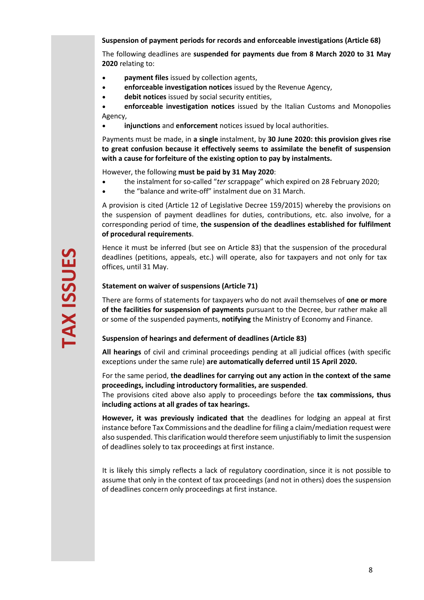## **Suspension of payment periods for records and enforceable investigations (Article 68)**

The following deadlines are **suspended for payments due from 8 March 2020 to 31 May 2020** relating to:

- **payment files** issued by collection agents,
- **enforceable investigation notices** issued by the Revenue Agency,
- **debit notices** issued by social security entities,

• **enforceable investigation notices** issued by the Italian Customs and Monopolies Agency,

• **injunctions** and **enforcement** notices issued by local authorities.

Payments must be made, in **a single** instalment, by **30 June 2020: this provision gives rise to great confusion because it effectively seems to assimilate the benefit of suspension with a cause for forfeiture of the existing option to pay by instalments.** 

However, the following **must be paid by 31 May 2020**:

- the instalment for so-called "*ter* scrappage" which expired on 28 February 2020;
- the "balance and write-off" instalment due on 31 March.

A provision is cited (Article 12 of Legislative Decree 159/2015) whereby the provisions on the suspension of payment deadlines for duties, contributions, etc. also involve, for a corresponding period of time, **the suspension of the deadlines established for fulfilment of procedural requirements**.

Hence it must be inferred (but see on Article 83) that the suspension of the procedural deadlines (petitions, appeals, etc.) will operate, also for taxpayers and not only for tax offices, until 31 May.

## **Statement on waiver of suspensions (Article 71)**

There are forms of statements for taxpayers who do not avail themselves of **one or more of the facilities for suspension of payments** pursuant to the Decree, bur rather make all or some of the suspended payments, **notifying** the Ministry of Economy and Finance.

#### **Suspension of hearings and deferment of deadlines (Article 83)**

**All hearings** of civil and criminal proceedings pending at all judicial offices (with specific exceptions under the same rule) **are automatically deferred until 15 April 2020.**

For the same period, **the deadlines for carrying out any action in the context of the same proceedings, including introductory formalities, are suspended**.

The provisions cited above also apply to proceedings before the **tax commissions, thus including actions at all grades of tax hearings.**

**However, it was previously indicated that** the deadlines for lodging an appeal at first instance before Tax Commissions and the deadline for filing a claim/mediation request were also suspended. This clarification would therefore seem unjustifiably to limit the suspension of deadlines solely to tax proceedings at first instance.

It is likely this simply reflects a lack of regulatory coordination, since it is not possible to assume that only in the context of tax proceedings (and not in others) does the suspension of deadlines concern only proceedings at first instance.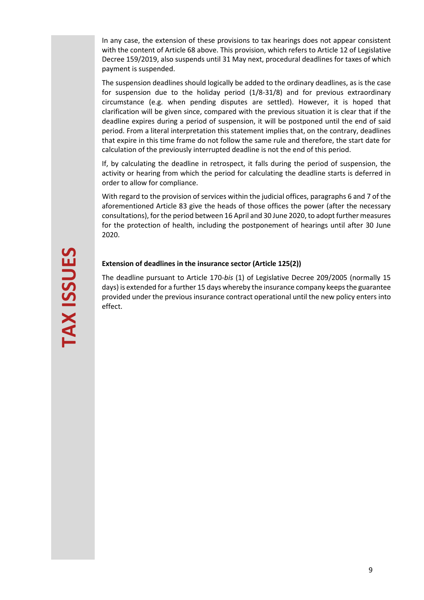In any case, the extension of these provisions to tax hearings does not appear consistent with the content of Article 68 above. This provision, which refers to Article 12 of Legislative Decree 159/2019, also suspends until 31 May next, procedural deadlines for taxes of which payment is suspended.

The suspension deadlines should logically be added to the ordinary deadlines, as is the case for suspension due to the holiday period (1/8-31/8) and for previous extraordinary circumstance (e.g. when pending disputes are settled). However, it is hoped that clarification will be given since, compared with the previous situation it is clear that if the deadline expires during a period of suspension, it will be postponed until the end of said period. From a literal interpretation this statement implies that, on the contrary, deadlines that expire in this time frame do not follow the same rule and therefore, the start date for calculation of the previously interrupted deadline is not the end of this period.

If, by calculating the deadline in retrospect, it falls during the period of suspension, the activity or hearing from which the period for calculating the deadline starts is deferred in order to allow for compliance.

With regard to the provision of services within the judicial offices, paragraphs 6 and 7 of the aforementioned Article 83 give the heads of those offices the power (after the necessary consultations), for the period between 16 April and 30 June 2020, to adopt further measures for the protection of health, including the postponement of hearings until after 30 June 2020.

## **Extension of deadlines in the insurance sector (Article 125(2))**

The deadline pursuant to Article 170-*bis* (1) of Legislative Decree 209/2005 (normally 15 days) is extended for a further 15 days whereby the insurance company keeps the guarantee provided under the previous insurance contract operational until the new policy enters into effect.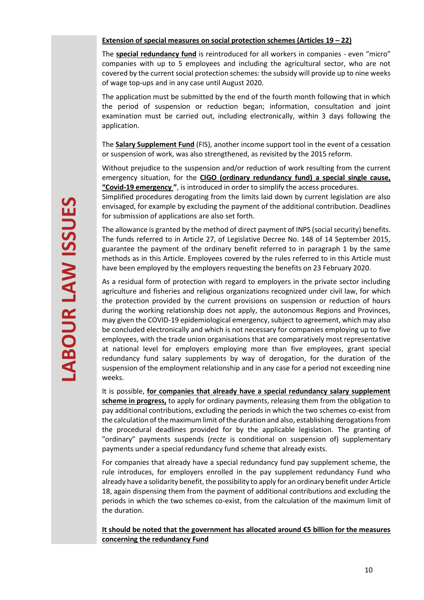### **Extension of special measures on social protection schemes (Articles 19 – 22)**

The **special redundancy fund** is reintroduced for all workers in companies - even "micro" companies with up to 5 employees and including the agricultural sector, who are not covered by the current social protection schemes: the subsidy will provide up to nine weeks of wage top-ups and in any case until August 2020.

The application must be submitted by the end of the fourth month following that in which the period of suspension or reduction began; information, consultation and joint examination must be carried out, including electronically, within 3 days following the application.

The **Salary Supplement Fund** (FIS), another income support tool in the event of a cessation or suspension of work, was also strengthened, as revisited by the 2015 reform.

Without prejudice to the suspension and/or reduction of work resulting from the current emergency situation, for the **CIGO (ordinary redundancy fund) a special single cause, "Covid-19 emergency "**, is introduced in order to simplify the access procedures.

Simplified procedures derogating from the limits laid down by current legislation are also envisaged, for example by excluding the payment of the additional contribution. Deadlines for submission of applications are also set forth.

The allowance is granted by the method of direct payment of INPS (social security) benefits. The funds referred to in Article 27, of Legislative Decree No. 148 of 14 September 2015, guarantee the payment of the ordinary benefit referred to in paragraph 1 by the same methods as in this Article. Employees covered by the rules referred to in this Article must have been employed by the employers requesting the benefits on 23 February 2020.

As a residual form of protection with regard to employers in the private sector including agriculture and fisheries and religious organizations recognized under civil law, for which the protection provided by the current provisions on suspension or reduction of hours during the working relationship does not apply, the autonomous Regions and Provinces, may given the COVID-19 epidemiological emergency, subject to agreement, which may also be concluded electronically and which is not necessary for companies employing up to five employees, with the trade union organisations that are comparatively most representative at national level for employers employing more than five employees, grant special redundancy fund salary supplements by way of derogation, for the duration of the suspension of the employment relationship and in any case for a period not exceeding nine weeks.

It is possible, **for companies that already have a special redundancy salary supplement scheme in progress,** to apply for ordinary payments, releasing them from the obligation to pay additional contributions, excluding the periods in which the two schemes co-exist from the calculation of the maximum limit of the duration and also, establishing derogations from the procedural deadlines provided for by the applicable legislation. The granting of "ordinary" payments suspends (*recte* is conditional on suspension of) supplementary payments under a special redundancy fund scheme that already exists.

For companies that already have a special redundancy fund pay supplement scheme, the rule introduces, for employers enrolled in the pay supplement redundancy Fund who already have a solidarity benefit, the possibility to apply for an ordinary benefit under Article 18, again dispensing them from the payment of additional contributions and excluding the periods in which the two schemes co-exist, from the calculation of the maximum limit of the duration.

**It should be noted that the government has allocated around €5 billion for the measures concerning the redundancy Fund**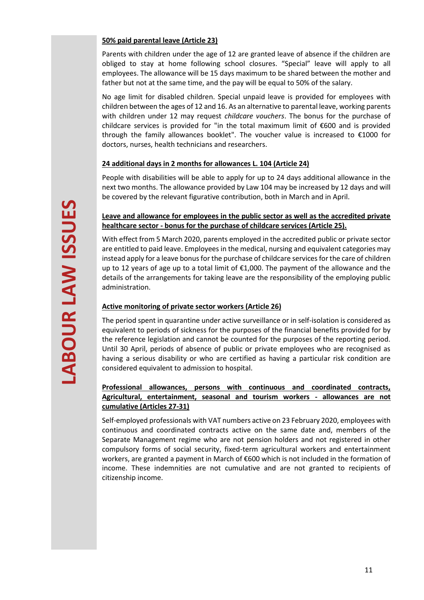# **50% paid parental leave (Article 23)**

Parents with children under the age of 12 are granted leave of absence if the children are obliged to stay at home following school closures. "Special" leave will apply to all employees. The allowance will be 15 days maximum to be shared between the mother and father but not at the same time, and the pay will be equal to 50% of the salary.

No age limit for disabled children. Special unpaid leave is provided for employees with children between the ages of 12 and 16. As an alternative to parental leave, working parents with children under 12 may request *childcare vouchers*. The bonus for the purchase of childcare services is provided for "in the total maximum limit of  $\epsilon$ 600 and is provided through the family allowances booklet". The voucher value is increased to €1000 for doctors, nurses, health technicians and researchers.

# **24 additional days in 2 months for allowances L. 104 (Article 24)**

People with disabilities will be able to apply for up to 24 days additional allowance in the next two months. The allowance provided by Law 104 may be increased by 12 days and will be covered by the relevant figurative contribution, both in March and in April.

# <span id="page-10-0"></span>**Leave and allowance for employees in the public sector as well as the accredited private healthcare sector - bonus for the purchase of childcare services (Article 25).**

With effect from 5 March 2020, parents employed in the accredited public or private sector are entitled to paid leave. Employees in the medical, nursing and equivalent categories may instead apply for a leave bonus for the purchase of childcare services for the care of children up to 12 years of age up to a total limit of €1,000. The payment of the allowance and the details of the arrangements for taking leave are the responsibility of the employing public administration.

# **Active monitoring of private sector workers (Article 26)**

The period spent in quarantine under active surveillance or in self-isolation is considered as equivalent to periods of sickness for the purposes of the financial benefits provided for by the reference legislation and cannot be counted for the purposes of the reporting period. Until 30 April, periods of absence of public or private employees who are recognised as having a serious disability or who are certified as having a particular risk condition are considered equivalent to admission to hospital.

# **Professional allowances, persons with continuous and coordinated contracts, Agricultural, entertainment, seasonal and tourism workers - allowances are not cumulative (Articles 27-31)**

Self-employed professionals with VAT numbers active on 23 February 2020, employees with continuous and coordinated contracts active on the same date and, members of the Separate Management regime who are not pension holders and not registered in other compulsory forms of social security, fixed-term agricultural workers and entertainment workers, are granted a payment in March of €600 which is not included in the formation of income. These indemnities are not cumulative and are not granted to recipients of citizenship income.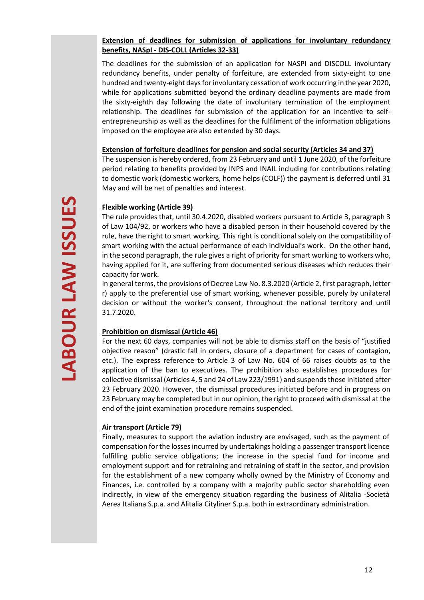# **Extension of deadlines for submission of applications for involuntary redundancy benefits, NASpI - DIS-COLL (Articles 32-33)**

The deadlines for the submission of an application for NASPI and DISCOLL involuntary redundancy benefits, under penalty of forfeiture, are extended from sixty-eight to one hundred and twenty-eight days for involuntary cessation of work occurring in the year 2020, while for applications submitted beyond the ordinary deadline payments are made from the sixty-eighth day following the date of involuntary termination of the employment relationship. The deadlines for submission of the application for an incentive to selfentrepreneurship as well as the deadlines for the fulfilment of the information obligations imposed on the employee are also extended by 30 days.

## **Extension of forfeiture deadlines for pension and social security (Articles 34 and 37)**

The suspension is hereby ordered, from 23 February and until 1 June 2020, of the forfeiture period relating to benefits provided by INPS and INAIL including for contributions relating to domestic work (domestic workers, home helps (COLF)) the payment is deferred until 31 May and will be net of penalties and interest.

# **Flexible working (Article 39)**

The rule provides that, until 30.4.2020, disabled workers pursuant to Article 3, paragraph 3 of Law 104/92, or workers who have a disabled person in their household covered by the rule, have the right to smart working. This right is conditional solely on the compatibility of smart working with the actual performance of each individual's work. On the other hand, in the second paragraph, the rule gives a right of priority for smart working to workers who, having applied for it, are suffering from documented serious diseases which reduces their capacity for work.

In general terms, the provisions of Decree Law No. 8.3.2020 (Article 2, first paragraph, letter r) apply to the preferential use of smart working, whenever possible, purely by unilateral decision or without the worker's consent, throughout the national territory and until 31.7.2020.

# **Prohibition on dismissal (Article 46)**

For the next 60 days, companies will not be able to dismiss staff on the basis of "justified objective reason" (drastic fall in orders, closure of a department for cases of contagion, etc.). The express reference to Article 3 of Law No. 604 of 66 raises doubts as to the application of the ban to executives. The prohibition also establishes procedures for collective dismissal (Articles 4, 5 and 24 of Law 223/1991) and suspends those initiated after 23 February 2020. However, the dismissal procedures initiated before and in progress on 23 February may be completed but in our opinion, the right to proceed with dismissal at the end of the joint examination procedure remains suspended.

# **Air transport (Article 79)**

Finally, measures to support the aviation industry are envisaged, such as the payment of compensation for the losses incurred by undertakings holding a passenger transport licence fulfilling public service obligations; the increase in the special fund for income and employment support and for retraining and retraining of staff in the sector, and provision for the establishment of a new company wholly owned by the Ministry of Economy and Finances, i.e. controlled by a company with a majority public sector shareholding even indirectly, in view of the emergency situation regarding the business of Alitalia -Società Aerea Italiana S.p.a. and Alitalia Cityliner S.p.a. both in extraordinary administration.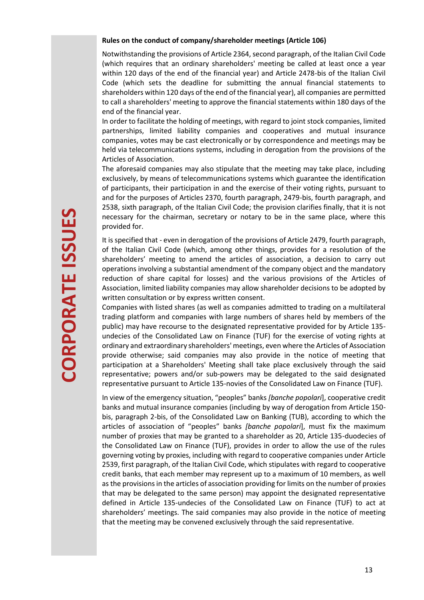#### **Rules on the conduct of company/shareholder meetings (Article 106)**

Notwithstanding the provisions of Article 2364, second paragraph, of the Italian Civil Code (which requires that an ordinary shareholders' meeting be called at least once a year within 120 days of the end of the financial year) and Article 2478-bis of the Italian Civil Code (which sets the deadline for submitting the annual financial statements to shareholders within 120 days of the end of the financial year), all companies are permitted to call a shareholders' meeting to approve the financial statements within 180 days of the end of the financial year.

In order to facilitate the holding of meetings, with regard to joint stock companies, limited partnerships, limited liability companies and cooperatives and mutual insurance companies, votes may be cast electronically or by correspondence and meetings may be held via telecommunications systems, including in derogation from the provisions of the Articles of Association.

The aforesaid companies may also stipulate that the meeting may take place, including exclusively, by means of telecommunications systems which guarantee the identification of participants, their participation in and the exercise of their voting rights, pursuant to and for the purposes of Articles 2370, fourth paragraph, 2479-bis, fourth paragraph, and 2538, sixth paragraph, of the Italian Civil Code; the provision clarifies finally, that it is not necessary for the chairman, secretary or notary to be in the same place, where this provided for.

<span id="page-12-0"></span>It is specified that - even in derogation of the provisions of Article 2479, fourth paragraph, of the Italian Civil Code (which, among other things, provides for a resolution of the shareholders' meeting to amend the articles of association, a decision to carry out operations involving a substantial amendment of the company object and the mandatory reduction of share capital for losses) and the various provisions of the Articles of Association, limited liability companies may allow shareholder decisions to be adopted by written consultation or by express written consent.

Companies with listed shares (as well as companies admitted to trading on a multilateral trading platform and companies with large numbers of shares held by members of the public) may have recourse to the designated representative provided for by Article 135 undecies of the Consolidated Law on Finance (TUF) for the exercise of voting rights at ordinary and extraordinary shareholders' meetings, even where the Articles of Association provide otherwise; said companies may also provide in the notice of meeting that participation at a Shareholders' Meeting shall take place exclusively through the said representative; powers and/or sub-powers may be delegated to the said designated representative pursuant to Article 135-novies of the Consolidated Law on Finance (TUF).

In view of the emergency situation, "peoples" banks *[banche popolari*], cooperative credit banks and mutual insurance companies (including by way of derogation from Article 150 bis, paragraph 2-bis, of the Consolidated Law on Banking (TUB), according to which the articles of association of "peoples" banks *[banche popolari*], must fix the maximum number of proxies that may be granted to a shareholder as 20, Article 135-duodecies of the Consolidated Law on Finance (TUF), provides in order to allow the use of the rules governing voting by proxies, including with regard to cooperative companies under Article 2539, first paragraph, of the Italian Civil Code, which stipulates with regard to cooperative credit banks, that each member may represent up to a maximum of 10 members, as well as the provisions in the articles of association providing for limits on the number of proxies that may be delegated to the same person) may appoint the designated representative defined in Article 135-undecies of the Consolidated Law on Finance (TUF) to act at shareholders' meetings. The said companies may also provide in the notice of meeting that the meeting may be convened exclusively through the said representative.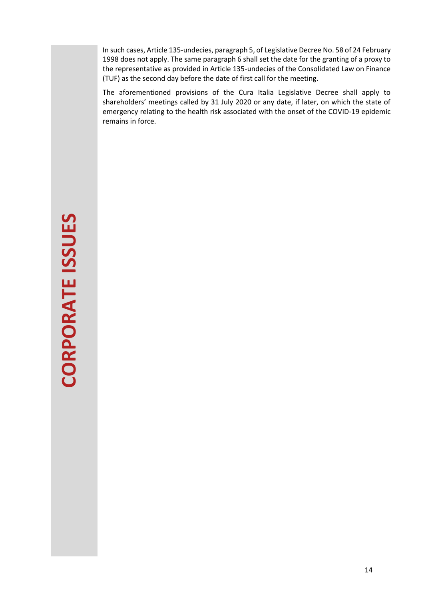In such cases, Article 135-undecies, paragraph 5, of Legislative Decree No. 58 of 24 February 1998 does not apply. The same paragraph 6 shall set the date for the granting of a proxy to the representative as provided in Article 135-undecies of the Consolidated Law on Finance (TUF) as the second day before the date of first call for the meeting.

The aforementioned provisions of the Cura Italia Legislative Decree shall apply to shareholders' meetings called by 31 July 2020 or any date, if later, on which the state of emergency relating to the health risk associated with the onset of the COVID-19 epidemic remains in force.